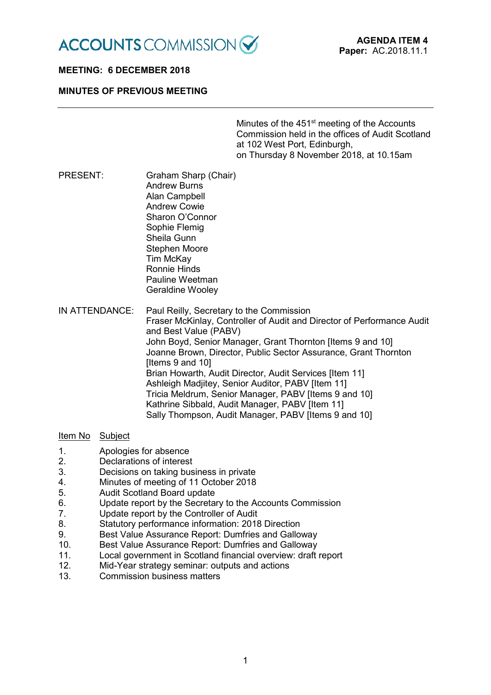

## **MEETING: 6 DECEMBER 2018**

## **MINUTES OF PREVIOUS MEETING**

Minutes of the 451<sup>st</sup> meeting of the Accounts Commission held in the offices of Audit Scotland at 102 West Port, Edinburgh, on Thursday 8 November 2018, at 10.15am

- PRESENT: Graham Sharp (Chair) Andrew Burns Alan Campbell Andrew Cowie Sharon O'Connor Sophie Flemig Sheila Gunn Stephen Moore Tim McKay Ronnie Hinds Pauline Weetman Geraldine Wooley
- IN ATTENDANCE: Paul Reilly, Secretary to the Commission Fraser McKinlay, Controller of Audit and Director of Performance Audit and Best Value (PABV) John Boyd, Senior Manager, Grant Thornton [Items 9 and 10] Joanne Brown, Director, Public Sector Assurance, Grant Thornton Iltems 9 and 101 Brian Howarth, Audit Director, Audit Services [Item 11] Ashleigh Madjitey, Senior Auditor, PABV [Item 11] Tricia Meldrum, Senior Manager, PABV [Items 9 and 10] Kathrine Sibbald, Audit Manager, PABV [Item 11] Sally Thompson, Audit Manager, PABV [Items 9 and 10]

### Item No Subject

- 1. Apologies for absence
- 2. Declarations of interest
- 3. Decisions on taking business in private<br>4 Minutes of meeting of 11 October 2018
- 4. Minutes of meeting of 11 October 2018
- 5. Audit Scotland Board update
- 6. Update report by the Secretary to the Accounts Commission<br>7. Update report by the Controller of Audit
- Update report by the Controller of Audit
- 8. Statutory performance information: 2018 Direction
- 9. Best Value Assurance Report: Dumfries and Galloway
- 10. Best Value Assurance Report: Dumfries and Galloway<br>11. Local government in Scotland financial overview: draft
- Local government in Scotland financial overview: draft report
- 12. Mid-Year strategy seminar: outputs and actions
- 13. Commission business matters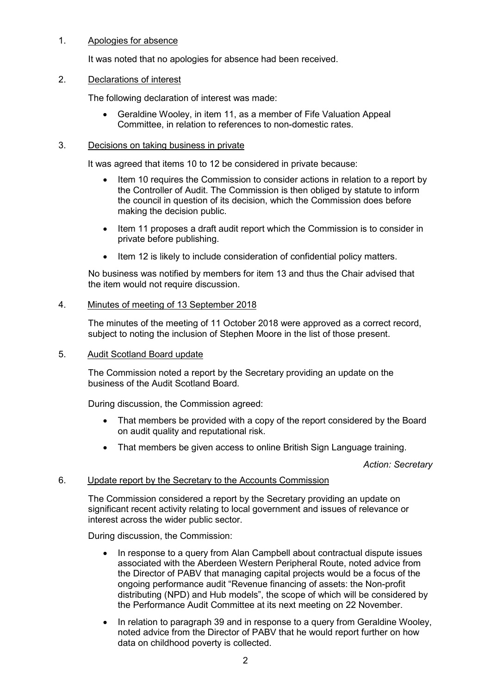## 1. Apologies for absence

It was noted that no apologies for absence had been received.

## 2. Declarations of interest

The following declaration of interest was made:

• Geraldine Wooley, in item 11, as a member of Fife Valuation Appeal Committee, in relation to references to non-domestic rates.

### 3. Decisions on taking business in private

It was agreed that items 10 to 12 be considered in private because:

- Item 10 requires the Commission to consider actions in relation to a report by the Controller of Audit. The Commission is then obliged by statute to inform the council in question of its decision, which the Commission does before making the decision public.
- Item 11 proposes a draft audit report which the Commission is to consider in private before publishing.
- Item 12 is likely to include consideration of confidential policy matters.

No business was notified by members for item 13 and thus the Chair advised that the item would not require discussion.

## 4. Minutes of meeting of 13 September 2018

The minutes of the meeting of 11 October 2018 were approved as a correct record, subject to noting the inclusion of Stephen Moore in the list of those present.

### 5. Audit Scotland Board update

The Commission noted a report by the Secretary providing an update on the business of the Audit Scotland Board.

During discussion, the Commission agreed:

- That members be provided with a copy of the report considered by the Board on audit quality and reputational risk.
- That members be given access to online British Sign Language training.

*Action: Secretary*

## 6. Update report by the Secretary to the Accounts Commission

The Commission considered a report by the Secretary providing an update on significant recent activity relating to local government and issues of relevance or interest across the wider public sector.

During discussion, the Commission:

- In response to a query from Alan Campbell about contractual dispute issues associated with the Aberdeen Western Peripheral Route, noted advice from the Director of PABV that managing capital projects would be a focus of the ongoing performance audit "Revenue financing of assets: the Non-profit distributing (NPD) and Hub models", the scope of which will be considered by the Performance Audit Committee at its next meeting on 22 November.
- In relation to paragraph 39 and in response to a query from Geraldine Wooley, noted advice from the Director of PABV that he would report further on how data on childhood poverty is collected.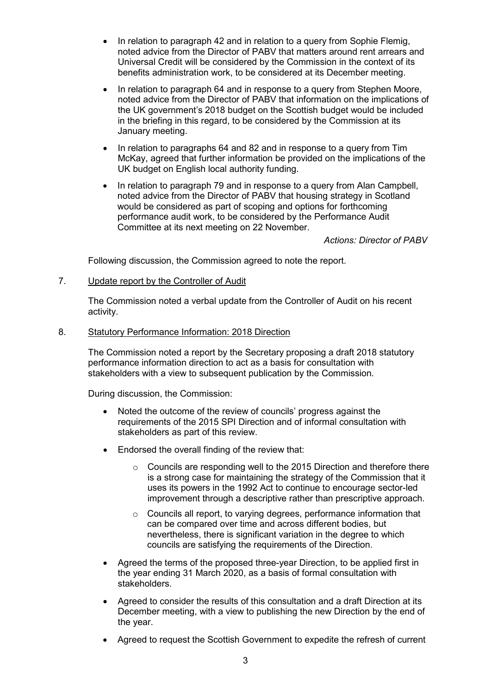- In relation to paragraph 42 and in relation to a query from Sophie Flemig, noted advice from the Director of PABV that matters around rent arrears and Universal Credit will be considered by the Commission in the context of its benefits administration work, to be considered at its December meeting.
- In relation to paragraph 64 and in response to a query from Stephen Moore, noted advice from the Director of PABV that information on the implications of the UK government's 2018 budget on the Scottish budget would be included in the briefing in this regard, to be considered by the Commission at its January meeting.
- In relation to paragraphs 64 and 82 and in response to a query from Tim McKay, agreed that further information be provided on the implications of the UK budget on English local authority funding.
- In relation to paragraph 79 and in response to a query from Alan Campbell, noted advice from the Director of PABV that housing strategy in Scotland would be considered as part of scoping and options for forthcoming performance audit work, to be considered by the Performance Audit Committee at its next meeting on 22 November.

## *Actions: Director of PABV*

Following discussion, the Commission agreed to note the report.

7. Update report by the Controller of Audit

The Commission noted a verbal update from the Controller of Audit on his recent activity.

8. Statutory Performance Information: 2018 Direction

The Commission noted a report by the Secretary proposing a draft 2018 statutory performance information direction to act as a basis for consultation with stakeholders with a view to subsequent publication by the Commission.

During discussion, the Commission:

- Noted the outcome of the review of councils' progress against the requirements of the 2015 SPI Direction and of informal consultation with stakeholders as part of this review.
- Endorsed the overall finding of the review that:
	- o Councils are responding well to the 2015 Direction and therefore there is a strong case for maintaining the strategy of the Commission that it uses its powers in the 1992 Act to continue to encourage sector-led improvement through a descriptive rather than prescriptive approach.
	- o Councils all report, to varying degrees, performance information that can be compared over time and across different bodies, but nevertheless, there is significant variation in the degree to which councils are satisfying the requirements of the Direction.
- Agreed the terms of the proposed three-year Direction, to be applied first in the year ending 31 March 2020, as a basis of formal consultation with stakeholders.
- Agreed to consider the results of this consultation and a draft Direction at its December meeting, with a view to publishing the new Direction by the end of the year.
- Agreed to request the Scottish Government to expedite the refresh of current